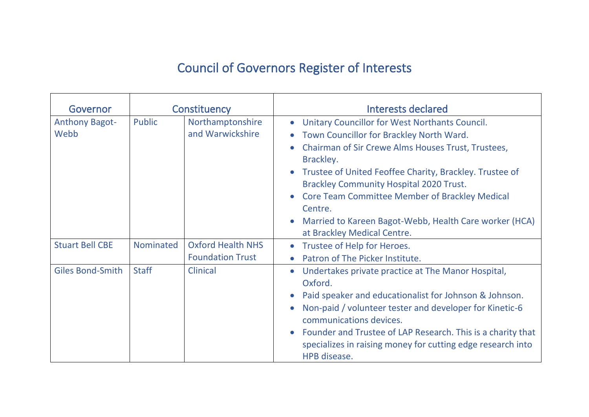## Council of Governors Register of Interests

| Governor                      | Constituency  |                                                     | Interests declared                                                                                                                                                                                                                                                                                                                                                                                                                                   |
|-------------------------------|---------------|-----------------------------------------------------|------------------------------------------------------------------------------------------------------------------------------------------------------------------------------------------------------------------------------------------------------------------------------------------------------------------------------------------------------------------------------------------------------------------------------------------------------|
| <b>Anthony Bagot-</b><br>Webb | <b>Public</b> | Northamptonshire<br>and Warwickshire                | Unitary Councillor for West Northants Council.<br>Town Councillor for Brackley North Ward.<br>Chairman of Sir Crewe Alms Houses Trust, Trustees,<br>Brackley.<br>Trustee of United Feoffee Charity, Brackley. Trustee of<br>$\bullet$<br><b>Brackley Community Hospital 2020 Trust.</b><br><b>Core Team Committee Member of Brackley Medical</b><br>Centre.<br>Married to Kareen Bagot-Webb, Health Care worker (HCA)<br>at Brackley Medical Centre. |
| <b>Stuart Bell CBE</b>        | Nominated     | <b>Oxford Health NHS</b><br><b>Foundation Trust</b> | Trustee of Help for Heroes.<br>$\bullet$<br>Patron of The Picker Institute.                                                                                                                                                                                                                                                                                                                                                                          |
| <b>Giles Bond-Smith</b>       | <b>Staff</b>  | <b>Clinical</b>                                     | Undertakes private practice at The Manor Hospital,<br>$\bullet$<br>Oxford.<br>Paid speaker and educationalist for Johnson & Johnson.<br>Non-paid / volunteer tester and developer for Kinetic-6<br>communications devices.<br>Founder and Trustee of LAP Research. This is a charity that<br>$\bullet$<br>specializes in raising money for cutting edge research into<br>HPB disease.                                                                |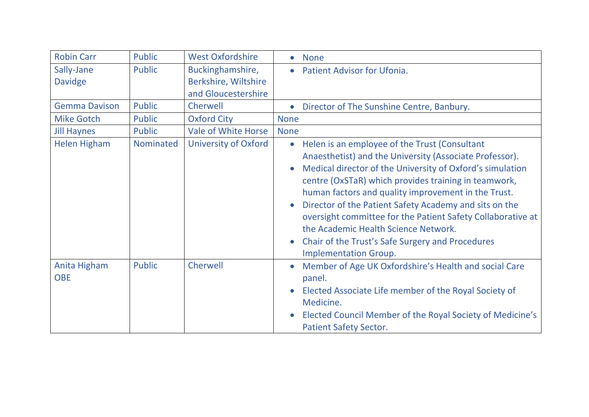| <b>Robin Carr</b>          | <b>Public</b> | <b>West Oxfordshire</b>     | None                                                                                                                                                                                                                                                                                                                                                                                                                                                                                                                                             |
|----------------------------|---------------|-----------------------------|--------------------------------------------------------------------------------------------------------------------------------------------------------------------------------------------------------------------------------------------------------------------------------------------------------------------------------------------------------------------------------------------------------------------------------------------------------------------------------------------------------------------------------------------------|
| Sally-Jane                 | Public        | Buckinghamshire,            | <b>Patient Advisor for Ufonia.</b>                                                                                                                                                                                                                                                                                                                                                                                                                                                                                                               |
| <b>Davidge</b>             |               | Berkshire, Wiltshire        |                                                                                                                                                                                                                                                                                                                                                                                                                                                                                                                                                  |
|                            |               | and Gloucestershire         |                                                                                                                                                                                                                                                                                                                                                                                                                                                                                                                                                  |
| <b>Gemma Davison</b>       | <b>Public</b> | Cherwell                    | Director of The Sunshine Centre, Banbury.<br>$\bullet$                                                                                                                                                                                                                                                                                                                                                                                                                                                                                           |
| <b>Mike Gotch</b>          | <b>Public</b> | <b>Oxford City</b>          | <b>None</b>                                                                                                                                                                                                                                                                                                                                                                                                                                                                                                                                      |
| <b>Jill Haynes</b>         | Public        | <b>Vale of White Horse</b>  | <b>None</b>                                                                                                                                                                                                                                                                                                                                                                                                                                                                                                                                      |
| <b>Helen Higham</b>        | Nominated     | <b>University of Oxford</b> | Helen is an employee of the Trust (Consultant<br>$\bullet$<br>Anaesthetist) and the University (Associate Professor).<br>Medical director of the University of Oxford's simulation<br>centre (OxSTaR) which provides training in teamwork,<br>human factors and quality improvement in the Trust.<br>Director of the Patient Safety Academy and sits on the<br>$\bullet$<br>oversight committee for the Patient Safety Collaborative at<br>the Academic Health Science Network.<br>Chair of the Trust's Safe Surgery and Procedures<br>$\bullet$ |
| Anita Higham<br><b>OBE</b> | <b>Public</b> | Cherwell                    | <b>Implementation Group.</b><br>Member of Age UK Oxfordshire's Health and social Care<br>panel.<br>Elected Associate Life member of the Royal Society of<br>$\bullet$<br>Medicine.<br>Elected Council Member of the Royal Society of Medicine's<br><b>Patient Safety Sector.</b>                                                                                                                                                                                                                                                                 |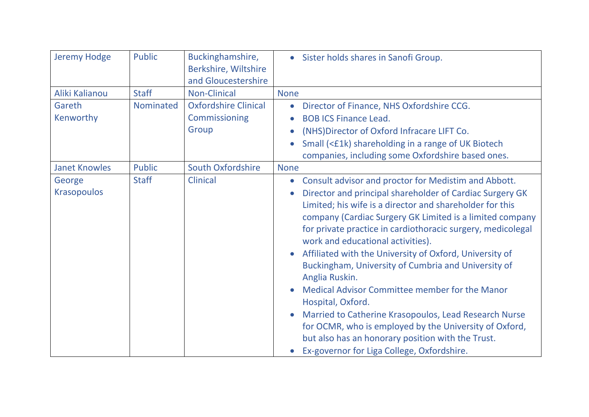| <b>Jeremy Hodge</b>          | <b>Public</b> | Buckinghamshire,<br>Berkshire, Wiltshire<br>and Gloucestershire | • Sister holds shares in Sanofi Group.                                                                                                                                                                                                                                                                                                                                                                                                                                                                                                                                                                                                                                                                                                                                                                                            |
|------------------------------|---------------|-----------------------------------------------------------------|-----------------------------------------------------------------------------------------------------------------------------------------------------------------------------------------------------------------------------------------------------------------------------------------------------------------------------------------------------------------------------------------------------------------------------------------------------------------------------------------------------------------------------------------------------------------------------------------------------------------------------------------------------------------------------------------------------------------------------------------------------------------------------------------------------------------------------------|
| Aliki Kalianou               | <b>Staff</b>  | <b>Non-Clinical</b>                                             | <b>None</b>                                                                                                                                                                                                                                                                                                                                                                                                                                                                                                                                                                                                                                                                                                                                                                                                                       |
| Gareth<br>Kenworthy          | Nominated     | <b>Oxfordshire Clinical</b><br>Commissioning<br>Group           | Director of Finance, NHS Oxfordshire CCG.<br>$\bullet$<br><b>BOB ICS Finance Lead.</b><br>$\bullet$<br>(NHS) Director of Oxford Infracare LIFT Co.<br>Small (<£1k) shareholding in a range of UK Biotech<br>$\bullet$<br>companies, including some Oxfordshire based ones.                                                                                                                                                                                                                                                                                                                                                                                                                                                                                                                                                        |
| <b>Janet Knowles</b>         | <b>Public</b> | <b>South Oxfordshire</b>                                        | <b>None</b>                                                                                                                                                                                                                                                                                                                                                                                                                                                                                                                                                                                                                                                                                                                                                                                                                       |
| George<br><b>Krasopoulos</b> | <b>Staff</b>  | <b>Clinical</b>                                                 | Consult advisor and proctor for Medistim and Abbott.<br>$\bullet$<br>Director and principal shareholder of Cardiac Surgery GK<br>$\bullet$<br>Limited; his wife is a director and shareholder for this<br>company (Cardiac Surgery GK Limited is a limited company<br>for private practice in cardiothoracic surgery, medicolegal<br>work and educational activities).<br>Affiliated with the University of Oxford, University of<br>$\bullet$<br>Buckingham, University of Cumbria and University of<br>Anglia Ruskin.<br>Medical Advisor Committee member for the Manor<br>Hospital, Oxford.<br>Married to Catherine Krasopoulos, Lead Research Nurse<br>$\bullet$<br>for OCMR, who is employed by the University of Oxford,<br>but also has an honorary position with the Trust.<br>Ex-governor for Liga College, Oxfordshire. |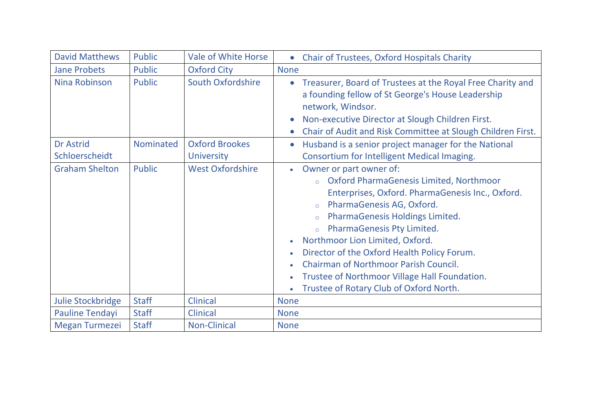| <b>David Matthews</b>    | <b>Public</b> | <b>Vale of White Horse</b> | <b>Chair of Trustees, Oxford Hospitals Charity</b><br>$\bullet$                                                                                                                                                                                                                                                                                                                                                                                                                                                                                                        |
|--------------------------|---------------|----------------------------|------------------------------------------------------------------------------------------------------------------------------------------------------------------------------------------------------------------------------------------------------------------------------------------------------------------------------------------------------------------------------------------------------------------------------------------------------------------------------------------------------------------------------------------------------------------------|
| <b>Jane Probets</b>      | <b>Public</b> | <b>Oxford City</b>         | <b>None</b>                                                                                                                                                                                                                                                                                                                                                                                                                                                                                                                                                            |
| Nina Robinson            | <b>Public</b> | <b>South Oxfordshire</b>   | Treasurer, Board of Trustees at the Royal Free Charity and<br>$\bullet$<br>a founding fellow of St George's House Leadership<br>network, Windsor.<br>Non-executive Director at Slough Children First.<br>$\bullet$<br>Chair of Audit and Risk Committee at Slough Children First.<br>$\bullet$                                                                                                                                                                                                                                                                         |
| <b>Dr Astrid</b>         | Nominated     | <b>Oxford Brookes</b>      | Husband is a senior project manager for the National<br>$\bullet$                                                                                                                                                                                                                                                                                                                                                                                                                                                                                                      |
| Schloerscheidt           |               | <b>University</b>          | Consortium for Intelligent Medical Imaging.                                                                                                                                                                                                                                                                                                                                                                                                                                                                                                                            |
| <b>Graham Shelton</b>    | <b>Public</b> | <b>West Oxfordshire</b>    | Owner or part owner of:<br>$\bullet$<br>Oxford PharmaGenesis Limited, Northmoor<br>$\circ$<br>Enterprises, Oxford. PharmaGenesis Inc., Oxford.<br>PharmaGenesis AG, Oxford.<br>$\circ$<br>PharmaGenesis Holdings Limited.<br>$\circ$<br>PharmaGenesis Pty Limited.<br>$\circ$<br>Northmoor Lion Limited, Oxford.<br>$\bullet$<br>Director of the Oxford Health Policy Forum.<br>$\bullet$<br><b>Chairman of Northmoor Parish Council.</b><br>$\bullet$<br><b>Trustee of Northmoor Village Hall Foundation.</b><br>$\bullet$<br>Trustee of Rotary Club of Oxford North. |
| <b>Julie Stockbridge</b> | <b>Staff</b>  | <b>Clinical</b>            | <b>None</b>                                                                                                                                                                                                                                                                                                                                                                                                                                                                                                                                                            |
| <b>Pauline Tendayi</b>   | <b>Staff</b>  | <b>Clinical</b>            | <b>None</b>                                                                                                                                                                                                                                                                                                                                                                                                                                                                                                                                                            |
| <b>Megan Turmezei</b>    | <b>Staff</b>  | <b>Non-Clinical</b>        | <b>None</b>                                                                                                                                                                                                                                                                                                                                                                                                                                                                                                                                                            |